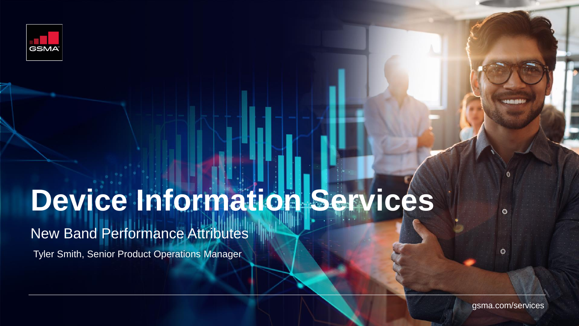

# **Device Information Services**

## New Band Performance Attributes

Tyler Smith, Senior Product Operations Manager

gsma.com/services

 $\bullet$ 

 $\bullet$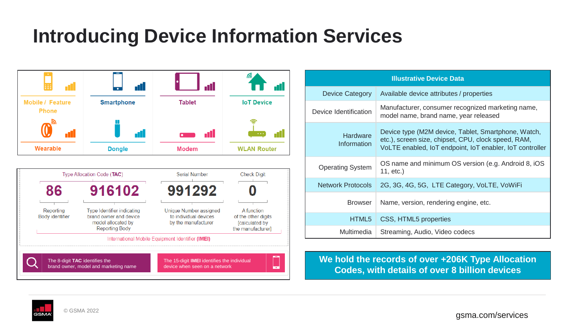# **Introducing Device Information Services**



| <b>Illustrative Device Data</b> |                                                                                                                                                                        |  |  |  |  |  |
|---------------------------------|------------------------------------------------------------------------------------------------------------------------------------------------------------------------|--|--|--|--|--|
| <b>Device Category</b>          | Available device attributes / properties                                                                                                                               |  |  |  |  |  |
| Device Identification           | Manufacturer, consumer recognized marketing name,<br>model name, brand name, year released                                                                             |  |  |  |  |  |
| Hardware<br>Information         | Device type (M2M device, Tablet, Smartphone, Watch,<br>etc.), screen size, chipset, CPU, clock speed, RAM,<br>VoLTE enabled, IoT endpoint, IoT enabler, IoT controller |  |  |  |  |  |
| <b>Operating System</b>         | OS name and minimum OS version (e.g. Android 8, iOS<br>$11, etc.$ )                                                                                                    |  |  |  |  |  |
| <b>Network Protocols</b>        | 2G, 3G, 4G, 5G, LTE Category, VoLTE, VoWiFi                                                                                                                            |  |  |  |  |  |
| <b>Browser</b>                  | Name, version, rendering engine, etc.                                                                                                                                  |  |  |  |  |  |
| HTML5                           | CSS, HTML5 properties                                                                                                                                                  |  |  |  |  |  |
| Multimedia                      | Streaming, Audio, Video codecs                                                                                                                                         |  |  |  |  |  |

**We hold the records of over +206K Type Allocation Codes, with details of over 8 billion devices**

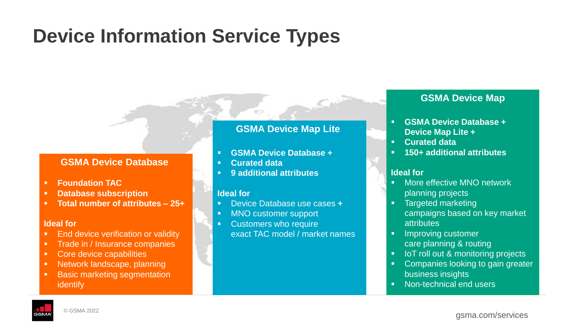# **Device Information Service Types**

### **GSMA Device Database**

- **Foundation TAC**
- **Database subscription**
- **Total number of attributes – 25+**

#### **Ideal for**

- **End device verification or validity**
- **Trade in / Insurance companies**
- Core device capabilities
- Network landscape, planning
- Basic marketing segmentation identify

### **GSMA Device Map Lite**

- **GSMA Device Database +**
- **Curated data**
- **9 additional attributes**

#### **Ideal for**

- Device Database use cases **+**
- MNO customer support
- Customers who require exact TAC model / market names

### **GSMA Device Map**

- **GSMA Device Database + Device Map Lite +**
- **Curated data**
- **150+ additional attributes**

#### **Ideal for**

- More effective MNO network planning projects
- Targeted marketing campaigns based on key market **attributes**
- **•** Improving customer care planning & routing
- IoT roll out & monitoring projects
- Companies looking to gain greater business insights
- Non-technical end users

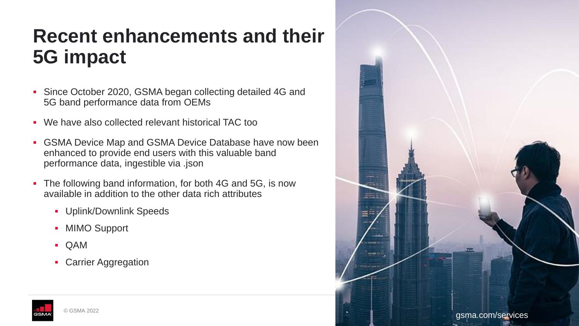# **Recent enhancements and their 5G impact**

- Since October 2020, GSMA began collecting detailed 4G and 5G band performance data from OEMs
- We have also collected relevant historical TAC too
- **GSMA Device Map and GSMA Device Database have now been** enhanced to provide end users with this valuable band performance data, ingestible via .json
- The following band information, for both 4G and 5G, is now available in addition to the other data rich attributes
	- Uplink/Downlink Speeds
	- MIMO Support
	- QAM
	- **Carrier Aggregation**



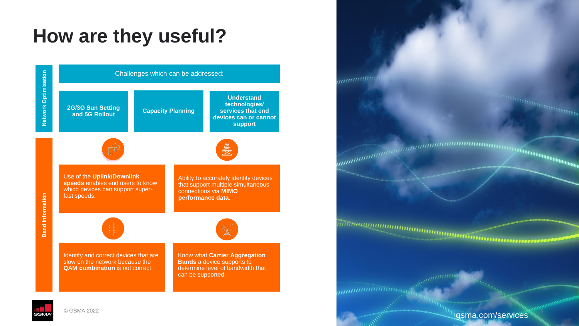# **How are they useful?**





© GSMA 2022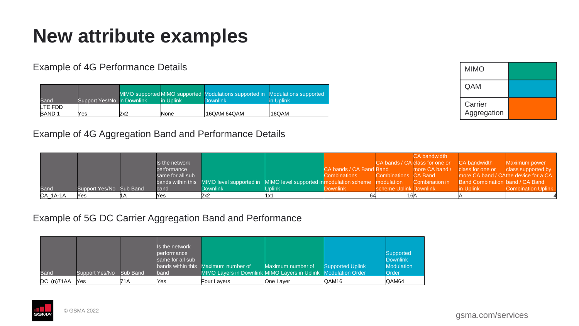# **New attribute examples**

Example of 4G Performance Details

|                   |                            |     |           | MIMO supported MIMO supported Modulations supported in Modulations supported |           |
|-------------------|----------------------------|-----|-----------|------------------------------------------------------------------------------|-----------|
| Band              | Support Yes/No in Downlink |     | in Uplink | <b>Downlink</b>                                                              | in Uplink |
| LTE FDD           |                            |     |           |                                                                              |           |
| BAND <sub>1</sub> | Yes                        | 2x2 | None      | ' 16QAM 64QAM                                                                | 16QAM     |

|  | <b>Example of 4G Aggregation Band and Performance Details</b> |  |  |  |
|--|---------------------------------------------------------------|--|--|--|
|  |                                                               |  |  |  |

| <b>MIMO</b>            |  |
|------------------------|--|
| QAM                    |  |
| Carrier<br>Aggregation |  |

|             |                         |                  |                                                                                                |        |                         |                        | CA bandwidth                   |                                      |                           |
|-------------|-------------------------|------------------|------------------------------------------------------------------------------------------------|--------|-------------------------|------------------------|--------------------------------|--------------------------------------|---------------------------|
|             |                         | Is the network   |                                                                                                |        |                         |                        | CA bands / CA class for one or | CA bandwidth                         | Maximum power             |
|             |                         | performance      |                                                                                                |        | CA bands / CA Band Band |                        | more CA band /                 | class for one or                     | class supported by        |
|             |                         | same for all sub |                                                                                                |        | <b>Combinations</b>     | Combinations CA Band   |                                | more CA band / CAthe device for a CA |                           |
|             |                         |                  | bands within this MIMO level supported in MIMO level supported in modulation scheme modulation |        |                         |                        | Combination in                 | Band Combination band / CA Band      |                           |
| <b>Band</b> | Support Yes/No Sub Band | band             | Downlink l                                                                                     | Jplink | <b>Downlink</b>         | scheme Uplink Downlink |                                | n Uplink                             | <b>Combination Uplink</b> |
| $CA_1A-1A$  | Yes                     |                  | 2x2                                                                                            |        |                         |                        |                                |                                      |                           |

### Example of 5G DC Carrier Aggregation Band and Performance

| Band             | Support Yes/No | <b>Sub Band</b> | Is the network.<br>performance<br>same for all sub<br>bands within this<br>band | Maximum number of<br><b>MIMO Layers in Downlink MIMO Layers in Uplink Modulation Order</b> | Maximum number of | <b>Supported Uplink</b> | <b>Supported</b><br><b>Downlink</b><br><b>Modulation</b><br>Order |
|------------------|----------------|-----------------|---------------------------------------------------------------------------------|--------------------------------------------------------------------------------------------|-------------------|-------------------------|-------------------------------------------------------------------|
| $DC_{n}$ (n)71AA | Yes            | 71A             | Yes.                                                                            | Four Layers                                                                                | One Laver         | QAM16                   | QAM64                                                             |